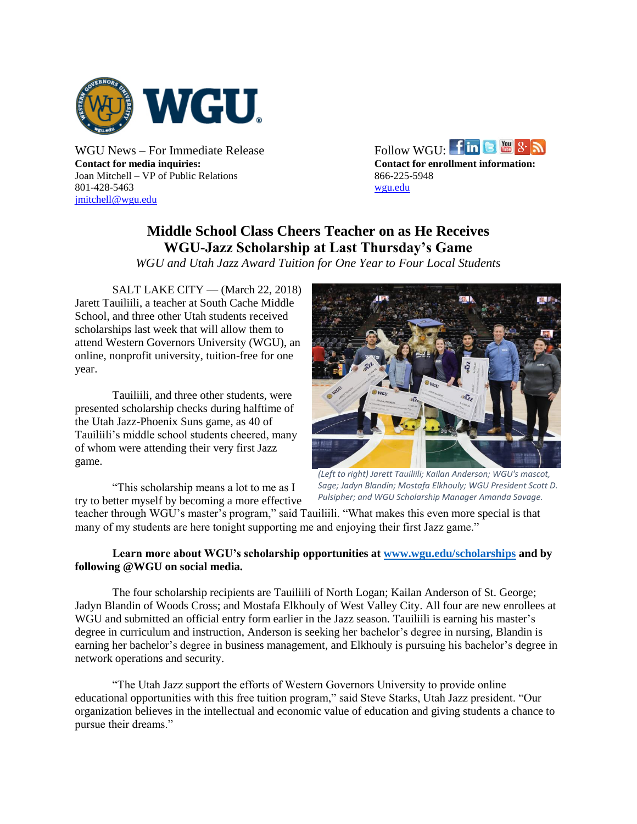

**Contact for media inquiries: Contact for enrollment information:** Joan Mitchell – VP of Public Relations 866-225-5948 801-428-5463 [wgu.edu](http://www.wgu.edu/) [jmitchell@wgu.edu](mailto:jmitchell@wgu.edu)

WGUNews – For Immediate Release Follow WGU:  $\lim_{x \to \infty}$   $S \in \mathbb{R}$ 

## **Middle School Class Cheers Teacher on as He Receives WGU-Jazz Scholarship at Last Thursday's Game**

*WGU and Utah Jazz Award Tuition for One Year to Four Local Students*

SALT LAKE CITY — (March 22, 2018) Jarett Tauiliili, a teacher at South Cache Middle School, and three other Utah students received scholarships last week that will allow them to attend Western Governors University (WGU), an online, nonprofit university, tuition-free for one year.

Tauiliili, and three other students, were presented scholarship checks during halftime of the Utah Jazz-Phoenix Suns game, as 40 of Tauiliili's middle school students cheered, many of whom were attending their very first Jazz game.



*Sage; Jadyn Blandin; Mostafa Elkhouly; WGU President Scott D. Pulsipher; and WGU Scholarship Manager Amanda Savage.*

"This scholarship means a lot to me as I try to better myself by becoming a more effective

teacher through WGU's master's program," said Tauiliili. "What makes this even more special is that many of my students are here tonight supporting me and enjoying their first Jazz game."

## **Learn more about WGU's scholarship opportunities a[t www.wgu.edu/scholarships](http://www.wgu.edu/scholarships) and by following @WGU on social media.**

The four scholarship recipients are Tauiliili of North Logan; Kailan Anderson of St. George; Jadyn Blandin of Woods Cross; and Mostafa Elkhouly of West Valley City. All four are new enrollees at WGU and submitted an official entry form earlier in the Jazz season. Tauiliili is earning his master's degree in curriculum and instruction, Anderson is seeking her bachelor's degree in nursing, Blandin is earning her bachelor's degree in business management, and Elkhouly is pursuing his bachelor's degree in network operations and security.

"The Utah Jazz support the efforts of Western Governors University to provide online educational opportunities with this free tuition program," said Steve Starks, Utah Jazz president. "Our organization believes in the intellectual and economic value of education and giving students a chance to pursue their dreams."